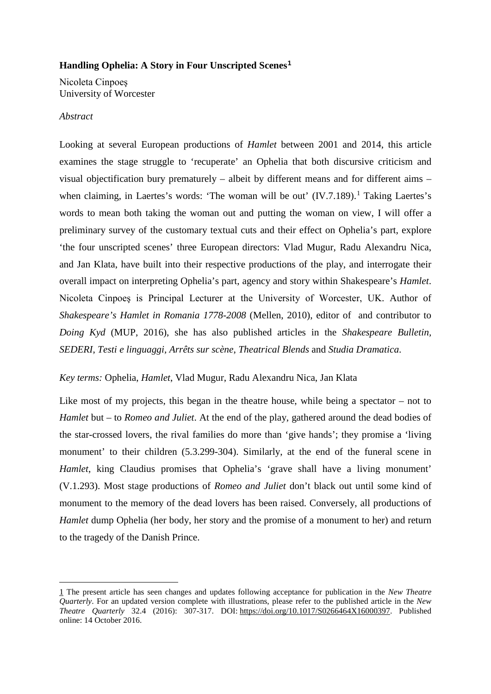# **Handling Ophelia: A Story in Four Unscripted Scenes[1](#page-0-0)**

Nicoleta Cinpoeş University of Worcester

## *Abstract*

Looking at several European productions of *Hamlet* between 2001 and 2014, this article examines the stage struggle to 'recuperate' an Ophelia that both discursive criticism and visual objectification bury prematurely – albeit by different means and for different aims – when claiming, in Laertes's words: 'The woman will be out' (IV.7.[1](#page-1-0)89).<sup>1</sup> Taking Laertes's words to mean both taking the woman out and putting the woman on view, I will offer a preliminary survey of the customary textual cuts and their effect on Ophelia's part, explore 'the four unscripted scenes' three European directors: Vlad Mugur, Radu Alexandru Nica, and Jan Klata, have built into their respective productions of the play, and interrogate their overall impact on interpreting Ophelia's part, agency and story within Shakespeare's *Hamlet*. Nicoleta Cinpoeş is Principal Lecturer at the University of Worcester, UK. Author of *Shakespeare's Hamlet in Romania 1778-2008* (Mellen, 2010), editor of and contributor to *Doing Kyd* (MUP, 2016), she has also published articles in the *Shakespeare Bulletin, SEDERI*, *Testi e linguaggi, Arrêts sur scène*, *Theatrical Blends* and *Studia Dramatica*.

# *Key terms:* Ophelia, *Hamlet*, Vlad Mugur, Radu Alexandru Nica, Jan Klata

Like most of my projects, this began in the theatre house, while being a spectator – not to *Hamlet* but – to *Romeo and Juliet*. At the end of the play, gathered around the dead bodies of the star-crossed lovers, the rival families do more than 'give hands'; they promise a 'living monument' to their children (5.3.299-304). Similarly, at the end of the funeral scene in *Hamlet*, king Claudius promises that Ophelia's 'grave shall have a living monument' (V.1.293). Most stage productions of *Romeo and Juliet* don't black out until some kind of monument to the memory of the dead lovers has been raised. Conversely, all productions of *Hamlet* dump Ophelia (her body, her story and the promise of a monument to her) and return to the tragedy of the Danish Prince.

<span id="page-0-0"></span> <sup>1</sup> The present article has seen changes and updates following acceptance for publication in the *New Theatre Quarterly*. For an updated version complete with illustrations, please refer to the published article in the *New Theatre Quarterly* 32.4 (2016): 307-317. DOI: [https://doi.org/10.1017/S0266464X16000397.](https://doi.org/10.1017/S0266464X16000397) Published online: 14 October 2016.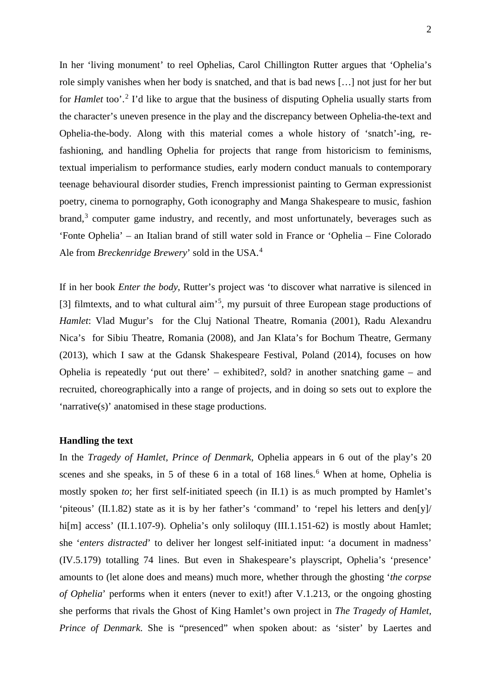In her 'living monument' to reel Ophelias, Carol Chillington Rutter argues that 'Ophelia's role simply vanishes when her body is snatched, and that is bad news […] not just for her but for *Hamlet* too'.<sup>[2](#page-1-1)</sup> I'd like to argue that the business of disputing Ophelia usually starts from the character's uneven presence in the play and the discrepancy between Ophelia-the-text and Ophelia-the-body. Along with this material comes a whole history of 'snatch'-ing, refashioning, and handling Ophelia for projects that range from historicism to feminisms, textual imperialism to performance studies, early modern conduct manuals to contemporary teenage behavioural disorder studies, French impressionist painting to German expressionist poetry, cinema to pornography, Goth iconography and Manga Shakespeare to music, fashion  $brand<sup>3</sup>$  $brand<sup>3</sup>$  $brand<sup>3</sup>$  computer game industry, and recently, and most unfortunately, beverages such as 'Fonte Ophelia' – an Italian brand of still water sold in France or 'Ophelia – Fine Colorado Ale from *Breckenridge Brewery*' sold in the USA. [4](#page-2-0)

If in her book *Enter the body*, Rutter's project was 'to discover what narrative is silenced in [3] filmtexts, and to what cultural aim'<sup>[5](#page-2-1)</sup>, my pursuit of three European stage productions of *Hamlet*: Vlad Mugur's for the Cluj National Theatre, Romania (2001), Radu Alexandru Nica's for Sibiu Theatre, Romania (2008), and Jan Klata's for Bochum Theatre, Germany (2013), which I saw at the Gdansk Shakespeare Festival, Poland (2014), focuses on how Ophelia is repeatedly 'put out there' – exhibited?, sold? in another snatching game – and recruited, choreographically into a range of projects, and in doing so sets out to explore the 'narrative(s)' anatomised in these stage productions.

## **Handling the text**

<span id="page-1-2"></span><span id="page-1-1"></span><span id="page-1-0"></span>In the *Tragedy of Hamlet, Prince of Denmark*, Ophelia appears in 6 out of the play's 20 scenes and she speaks, in 5 of these [6](#page-2-2) in a total of 168 lines.<sup>6</sup> When at home, Ophelia is mostly spoken *to*; her first self-initiated speech (in II.1) is as much prompted by Hamlet's 'piteous' (II.1.82) state as it is by her father's 'command' to 'repel his letters and den[y]/ hi[m] access' (II.1.107-9). Ophelia's only soliloquy (III.1.151-62) is mostly about Hamlet; she '*enters distracted*' to deliver her longest self-initiated input: 'a document in madness' (IV.5.179) totalling 74 lines. But even in Shakespeare's playscript, Ophelia's 'presence' amounts to (let alone does and means) much more, whether through the ghosting '*the corpse of Ophelia*' performs when it enters (never to exit!) after V.1.213, or the ongoing ghosting she performs that rivals the Ghost of King Hamlet's own project in *The Tragedy of Hamlet, Prince of Denmark*. She is "presenced" when spoken about: as 'sister' by Laertes and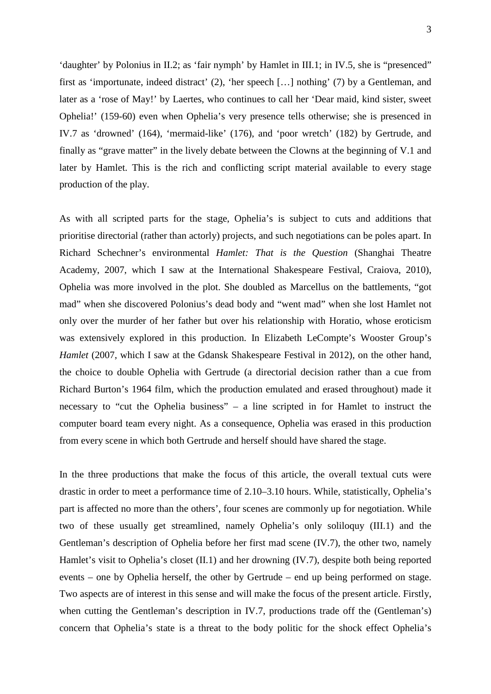<span id="page-2-0"></span>'daughter' by Polonius in II.2; as 'fair nymph' by Hamlet in III.1; in IV.5, she is "presenced" first as 'importunate, indeed distract' (2), 'her speech […] nothing' (7) by a Gentleman, and later as a 'rose of May!' by Laertes, who continues to call her 'Dear maid, kind sister, sweet Ophelia!' (159-60) even when Ophelia's very presence tells otherwise; she is presenced in IV.7 as 'drowned' (164), 'mermaid-like' (176), and 'poor wretch' (182) by Gertrude, and finally as "grave matter" in the lively debate between the Clowns at the beginning of V.1 and later by Hamlet. This is the rich and conflicting script material available to every stage production of the play.

<span id="page-2-8"></span><span id="page-2-7"></span><span id="page-2-6"></span><span id="page-2-5"></span><span id="page-2-4"></span><span id="page-2-3"></span><span id="page-2-2"></span><span id="page-2-1"></span>As with all scripted parts for the stage, Ophelia's is subject to cuts and additions that prioritise directorial (rather than actorly) projects, and such negotiations can be poles apart. In Richard Schechner's environmental *Hamlet: That is the Question* (Shanghai Theatre Academy, 2007, which I saw at the International Shakespeare Festival, Craiova, 2010), Ophelia was more involved in the plot. She doubled as Marcellus on the battlements, "got mad" when she discovered Polonius's dead body and "went mad" when she lost Hamlet not only over the murder of her father but over his relationship with Horatio, whose eroticism was extensively explored in this production. In Elizabeth LeCompte's Wooster Group's *Hamlet* (2007, which I saw at the Gdansk Shakespeare Festival in 2012), on the other hand, the choice to double Ophelia with Gertrude (a directorial decision rather than a cue from Richard Burton's 1964 film, which the production emulated and erased throughout) made it necessary to "cut the Ophelia business" – a line scripted in for Hamlet to instruct the computer board team every night. As a consequence, Ophelia was erased in this production from every scene in which both Gertrude and herself should have shared the stage.

<span id="page-2-9"></span>In the three productions that make the focus of this article, the overall textual cuts were drastic in order to meet a performance time of 2.10–3.10 hours. While, statistically, Ophelia's part is affected no more than the others', four scenes are commonly up for negotiation. While two of these usually get streamlined, namely Ophelia's only soliloquy (III.1) and the Gentleman's description of Ophelia before her first mad scene (IV.7), the other two, namely Hamlet's visit to Ophelia's closet (II.1) and her drowning (IV.7), despite both being reported events – one by Ophelia herself, the other by Gertrude – end up being performed on stage. Two aspects are of interest in this sense and will make the focus of the present article. Firstly, when cutting the Gentleman's description in IV.7, productions trade off the (Gentleman's) concern that Ophelia's state is a threat to the body politic for the shock effect Ophelia's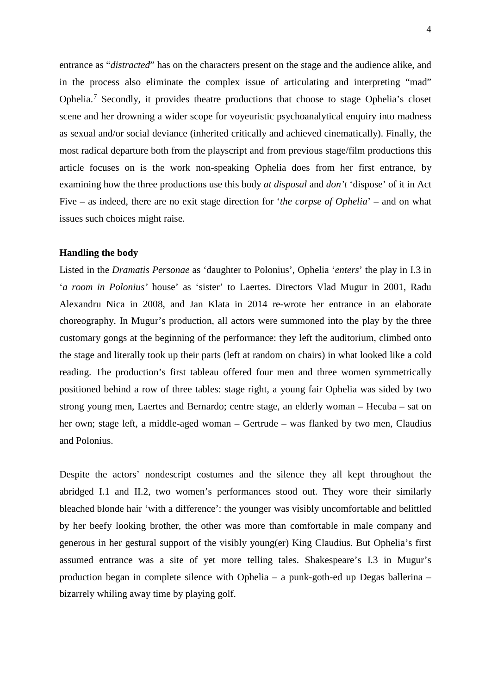entrance as "*distracted*" has on the characters present on the stage and the audience alike, and in the process also eliminate the complex issue of articulating and interpreting "mad" Ophelia.<sup>[7](#page-2-3)</sup> Secondly, it provides theatre productions that choose to stage Ophelia's closet scene and her drowning a wider scope for voyeuristic psychoanalytical enquiry into madness as sexual and/or social deviance (inherited critically and achieved cinematically). Finally, the most radical departure both from the playscript and from previous stage/film productions this article focuses on is the work non-speaking Ophelia does from her first entrance, by examining how the three productions use this body *at disposal* and *don't* 'dispose' of it in Act Five – as indeed, there are no exit stage direction for '*the corpse of Ophelia*' – and on what issues such choices might raise.

#### **Handling the body**

Listed in the *Dramatis Personae* as 'daughter to Polonius', Ophelia '*enters*' the play in I.3 in '*a room in Polonius'* house' as 'sister' to Laertes. Directors Vlad Mugur in 2001, Radu Alexandru Nica in 2008, and Jan Klata in 2014 re-wrote her entrance in an elaborate choreography. In Mugur's production, all actors were summoned into the play by the three customary gongs at the beginning of the performance: they left the auditorium, climbed onto the stage and literally took up their parts (left at random on chairs) in what looked like a cold reading. The production's first tableau offered four men and three women symmetrically positioned behind a row of three tables: stage right, a young fair Ophelia was sided by two strong young men, Laertes and Bernardo; centre stage, an elderly woman – Hecuba – sat on her own; stage left, a middle-aged woman – Gertrude – was flanked by two men, Claudius and Polonius.

Despite the actors' nondescript costumes and the silence they all kept throughout the abridged I.1 and II.2, two women's performances stood out. They wore their similarly bleached blonde hair 'with a difference': the younger was visibly uncomfortable and belittled by her beefy looking brother, the other was more than comfortable in male company and generous in her gestural support of the visibly young(er) King Claudius. But Ophelia's first assumed entrance was a site of yet more telling tales. Shakespeare's I.3 in Mugur's production began in complete silence with Ophelia – a punk-goth-ed up Degas ballerina – bizarrely whiling away time by playing golf.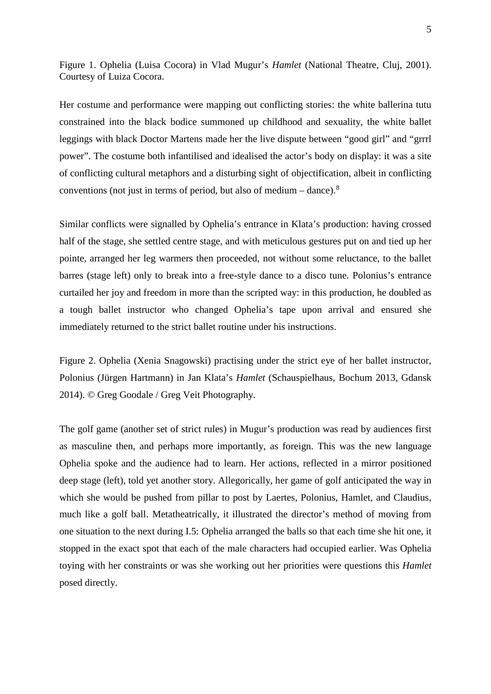Figure 1. Ophelia (Luisa Cocora) in Vlad Mugur's *Hamlet* (National Theatre, Cluj, 2001). Courtesy of Luiza Cocora.

Her costume and performance were mapping out conflicting stories: the white ballerina tutu constrained into the black bodice summoned up childhood and sexuality, the white ballet leggings with black Doctor Martens made her the live dispute between "good girl" and "grrrl power". The costume both infantilised and idealised the actor's body on display: it was a site of conflicting cultural metaphors and a disturbing sight of objectification, albeit in conflicting conventions (not just in terms of period, but also of medium – dance). $8$ 

Similar conflicts were signalled by Ophelia's entrance in Klata's production: having crossed half of the stage, she settled centre stage, and with meticulous gestures put on and tied up her pointe, arranged her leg warmers then proceeded, not without some reluctance, to the ballet barres (stage left) only to break into a free-style dance to a disco tune. Polonius's entrance curtailed her joy and freedom in more than the scripted way: in this production, he doubled as a tough ballet instructor who changed Ophelia's tape upon arrival and ensured she immediately returned to the strict ballet routine under his instructions.

Figure 2. Ophelia (Xenia Snagowski) practising under the strict eye of her ballet instructor, Polonius (Jürgen Hartmann) in Jan Klata's *Hamlet* (Schauspielhaus, Bochum 2013, Gdansk 2014). © Greg Goodale / Greg Veit Photography.

The golf game (another set of strict rules) in Mugur's production was read by audiences first as masculine then, and perhaps more importantly, as foreign. This was the new language Ophelia spoke and the audience had to learn. Her actions, reflected in a mirror positioned deep stage (left), told yet another story. Allegorically, her game of golf anticipated the way in which she would be pushed from pillar to post by Laertes, Polonius, Hamlet, and Claudius, much like a golf ball. Metatheatrically, it illustrated the director's method of moving from one situation to the next during I.5: Ophelia arranged the balls so that each time she hit one, it stopped in the exact spot that each of the male characters had occupied earlier. Was Ophelia toying with her constraints or was she working out her priorities were questions this *Hamlet*  posed directly.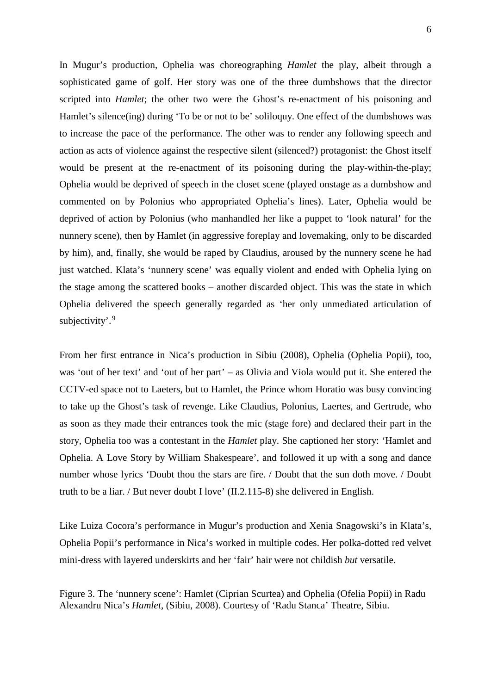In Mugur's production, Ophelia was choreographing *Hamlet* the play, albeit through a sophisticated game of golf. Her story was one of the three dumbshows that the director scripted into *Hamlet*; the other two were the Ghost's re-enactment of his poisoning and Hamlet's silence(ing) during 'To be or not to be' soliloquy. One effect of the dumbshows was to increase the pace of the performance. The other was to render any following speech and action as acts of violence against the respective silent (silenced?) protagonist: the Ghost itself would be present at the re-enactment of its poisoning during the play-within-the-play; Ophelia would be deprived of speech in the closet scene (played onstage as a dumbshow and commented on by Polonius who appropriated Ophelia's lines). Later, Ophelia would be deprived of action by Polonius (who manhandled her like a puppet to 'look natural' for the nunnery scene), then by Hamlet (in aggressive foreplay and lovemaking, only to be discarded by him), and, finally, she would be raped by Claudius, aroused by the nunnery scene he had just watched. Klata's 'nunnery scene' was equally violent and ended with Ophelia lying on the stage among the scattered books – another discarded object. This was the state in which Ophelia delivered the speech generally regarded as 'her only unmediated articulation of subjectivity'.<sup>[9](#page-2-5)</sup>

From her first entrance in Nica's production in Sibiu (2008), Ophelia (Ophelia Popii), too, was 'out of her text' and 'out of her part' – as Olivia and Viola would put it. She entered the CCTV-ed space not to Laeters, but to Hamlet, the Prince whom Horatio was busy convincing to take up the Ghost's task of revenge. Like Claudius, Polonius, Laertes, and Gertrude, who as soon as they made their entrances took the mic (stage fore) and declared their part in the story, Ophelia too was a contestant in the *Hamlet* play. She captioned her story: 'Hamlet and Ophelia. A Love Story by William Shakespeare', and followed it up with a song and dance number whose lyrics 'Doubt thou the stars are fire. / Doubt that the sun doth move. / Doubt truth to be a liar. / But never doubt I love' (II.2.115-8) she delivered in English.

Like Luiza Cocora's performance in Mugur's production and Xenia Snagowski's in Klata's, Ophelia Popii's performance in Nica's worked in multiple codes. Her polka-dotted red velvet mini-dress with layered underskirts and her 'fair' hair were not childish *but* versatile.

Figure 3. The 'nunnery scene': Hamlet (Ciprian Scurtea) and Ophelia (Ofelia Popii) in Radu Alexandru Nica's *Hamlet*, (Sibiu, 2008). Courtesy of 'Radu Stanca' Theatre, Sibiu.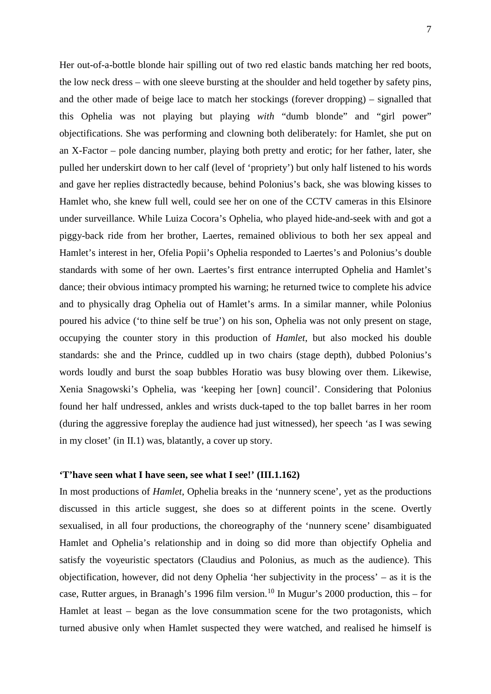Her out-of-a-bottle blonde hair spilling out of two red elastic bands matching her red boots, the low neck dress – with one sleeve bursting at the shoulder and held together by safety pins, and the other made of beige lace to match her stockings (forever dropping) – signalled that this Ophelia was not playing but playing *with* "dumb blonde" and "girl power" objectifications. She was performing and clowning both deliberately: for Hamlet, she put on an X-Factor – pole dancing number, playing both pretty and erotic; for her father, later, she pulled her underskirt down to her calf (level of 'propriety') but only half listened to his words and gave her replies distractedly because, behind Polonius's back, she was blowing kisses to Hamlet who, she knew full well, could see her on one of the CCTV cameras in this Elsinore under surveillance. While Luiza Cocora's Ophelia, who played hide-and-seek with and got a piggy-back ride from her brother, Laertes, remained oblivious to both her sex appeal and Hamlet's interest in her, Ofelia Popii's Ophelia responded to Laertes's and Polonius's double standards with some of her own. Laertes's first entrance interrupted Ophelia and Hamlet's dance; their obvious intimacy prompted his warning; he returned twice to complete his advice and to physically drag Ophelia out of Hamlet's arms. In a similar manner, while Polonius poured his advice ('to thine self be true') on his son, Ophelia was not only present on stage, occupying the counter story in this production of *Hamlet*, but also mocked his double standards: she and the Prince, cuddled up in two chairs (stage depth), dubbed Polonius's words loudly and burst the soap bubbles Horatio was busy blowing over them. Likewise, Xenia Snagowski's Ophelia, was 'keeping her [own] council'. Considering that Polonius found her half undressed, ankles and wrists duck-taped to the top ballet barres in her room (during the aggressive foreplay the audience had just witnessed), her speech 'as I was sewing in my closet' (in II.1) was, blatantly, a cover up story.

# **'T'have seen what I have seen, see what I see!' (III.1.162)**

In most productions of *Hamlet*, Ophelia breaks in the 'nunnery scene', yet as the productions discussed in this article suggest, she does so at different points in the scene. Overtly sexualised, in all four productions, the choreography of the 'nunnery scene' disambiguated Hamlet and Ophelia's relationship and in doing so did more than objectify Ophelia and satisfy the voyeuristic spectators (Claudius and Polonius, as much as the audience). This objectification, however, did not deny Ophelia 'her subjectivity in the process' – as it is the case, Rutter argues, in Branagh's 1996 film version.<sup>[10](#page-2-6)</sup> In Mugur's 2000 production, this – for Hamlet at least – began as the love consummation scene for the two protagonists, which turned abusive only when Hamlet suspected they were watched, and realised he himself is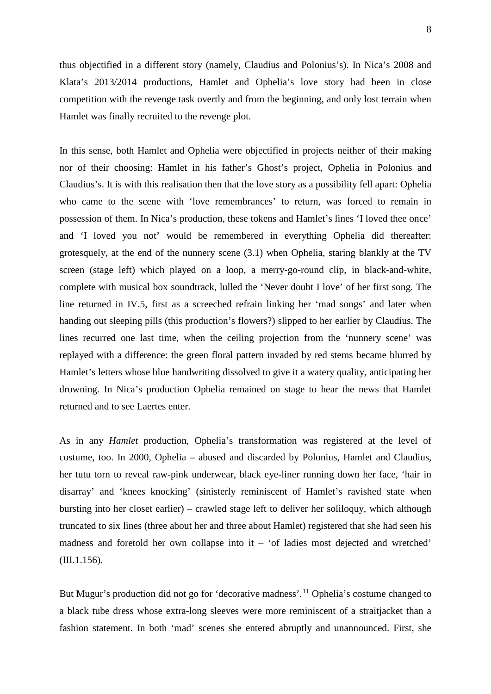thus objectified in a different story (namely, Claudius and Polonius's). In Nica's 2008 and Klata's 2013/2014 productions, Hamlet and Ophelia's love story had been in close competition with the revenge task overtly and from the beginning, and only lost terrain when Hamlet was finally recruited to the revenge plot.

In this sense, both Hamlet and Ophelia were objectified in projects neither of their making nor of their choosing: Hamlet in his father's Ghost's project, Ophelia in Polonius and Claudius's. It is with this realisation then that the love story as a possibility fell apart: Ophelia who came to the scene with 'love remembrances' to return, was forced to remain in possession of them. In Nica's production, these tokens and Hamlet's lines 'I loved thee once' and 'I loved you not' would be remembered in everything Ophelia did thereafter: grotesquely, at the end of the nunnery scene (3.1) when Ophelia, staring blankly at the TV screen (stage left) which played on a loop, a merry-go-round clip, in black-and-white, complete with musical box soundtrack, lulled the 'Never doubt I love' of her first song. The line returned in IV.5, first as a screeched refrain linking her 'mad songs' and later when handing out sleeping pills (this production's flowers?) slipped to her earlier by Claudius. The lines recurred one last time, when the ceiling projection from the 'nunnery scene' was replayed with a difference: the green floral pattern invaded by red stems became blurred by Hamlet's letters whose blue handwriting dissolved to give it a watery quality, anticipating her drowning. In Nica's production Ophelia remained on stage to hear the news that Hamlet returned and to see Laertes enter.

As in any *Hamlet* production, Ophelia's transformation was registered at the level of costume, too. In 2000, Ophelia – abused and discarded by Polonius, Hamlet and Claudius, her tutu torn to reveal raw-pink underwear, black eye-liner running down her face, 'hair in disarray' and 'knees knocking' (sinisterly reminiscent of Hamlet's ravished state when bursting into her closet earlier) – crawled stage left to deliver her soliloquy, which although truncated to six lines (three about her and three about Hamlet) registered that she had seen his madness and foretold her own collapse into it – 'of ladies most dejected and wretched' (III.1.156).

But Mugur's production did not go for 'decorative madness'.<sup>[11](#page-2-7)</sup> Ophelia's costume changed to a black tube dress whose extra-long sleeves were more reminiscent of a straitjacket than a fashion statement. In both 'mad' scenes she entered abruptly and unannounced. First, she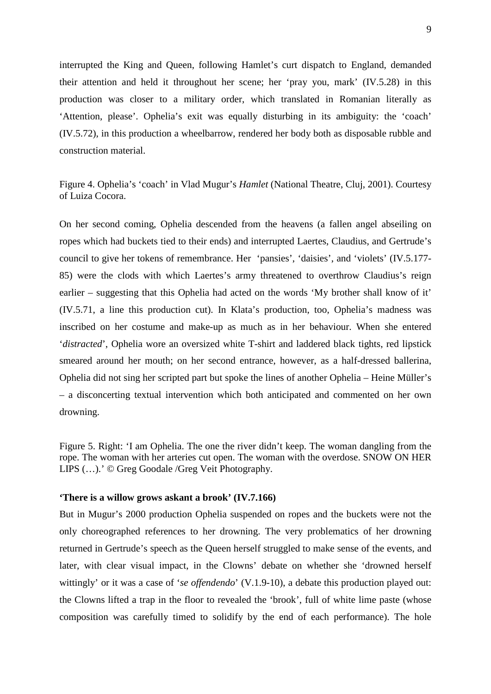interrupted the King and Queen, following Hamlet's curt dispatch to England, demanded their attention and held it throughout her scene; her 'pray you, mark' (IV.5.28) in this production was closer to a military order, which translated in Romanian literally as 'Attention, please'. Ophelia's exit was equally disturbing in its ambiguity: the 'coach' (IV.5.72), in this production a wheelbarrow, rendered her body both as disposable rubble and construction material.

Figure 4. Ophelia's 'coach' in Vlad Mugur's *Hamlet* (National Theatre, Cluj, 2001). Courtesy of Luiza Cocora.

On her second coming, Ophelia descended from the heavens (a fallen angel abseiling on ropes which had buckets tied to their ends) and interrupted Laertes, Claudius, and Gertrude's council to give her tokens of remembrance. Her 'pansies', 'daisies', and 'violets' (IV.5.177- 85) were the clods with which Laertes's army threatened to overthrow Claudius's reign earlier – suggesting that this Ophelia had acted on the words 'My brother shall know of it' (IV.5.71, a line this production cut). In Klata's production, too, Ophelia's madness was inscribed on her costume and make-up as much as in her behaviour. When she entered '*distracted*', Ophelia wore an oversized white T-shirt and laddered black tights, red lipstick smeared around her mouth; on her second entrance, however, as a half-dressed ballerina, Ophelia did not sing her scripted part but spoke the lines of another Ophelia – Heine Müller's – a disconcerting textual intervention which both anticipated and commented on her own drowning.

Figure 5. Right: 'I am Ophelia. The one the river didn't keep. The woman dangling from the rope. The woman with her arteries cut open. The woman with the overdose. SNOW ON HER LIPS (…).' © Greg Goodale /Greg Veit Photography.

### **'There is a willow grows askant a brook' (IV.7.166)**

But in Mugur's 2000 production Ophelia suspended on ropes and the buckets were not the only choreographed references to her drowning. The very problematics of her drowning returned in Gertrude's speech as the Queen herself struggled to make sense of the events, and later, with clear visual impact, in the Clowns' debate on whether she 'drowned herself wittingly' or it was a case of '*se offendendo*' (V.1.9-10), a debate this production played out: the Clowns lifted a trap in the floor to revealed the 'brook', full of white lime paste (whose composition was carefully timed to solidify by the end of each performance). The hole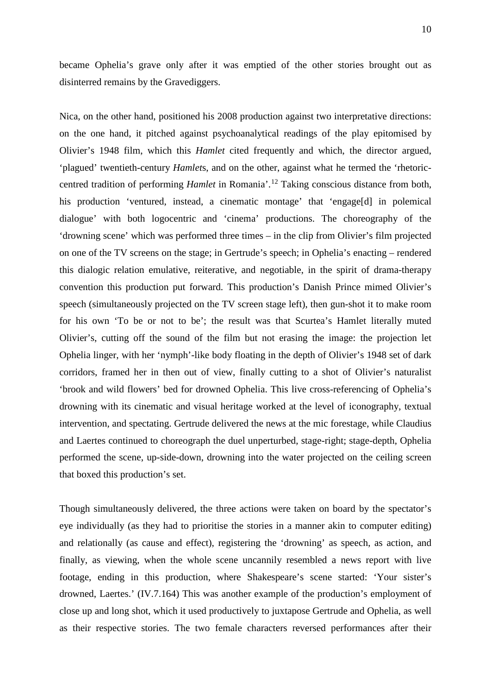became Ophelia's grave only after it was emptied of the other stories brought out as disinterred remains by the Gravediggers.

Nica, on the other hand, positioned his 2008 production against two interpretative directions: on the one hand, it pitched against psychoanalytical readings of the play epitomised by Olivier's 1948 film, which this *Hamlet* cited frequently and which, the director argued, 'plagued' twentieth-century *Hamlet*s, and on the other, against what he termed the 'rhetoriccentred tradition of performing *Hamlet* in Romania'.[12](#page-2-8) Taking conscious distance from both, his production 'ventured, instead, a cinematic montage' that 'engage[d] in polemical dialogue' with both logocentric and 'cinema' productions. The choreography of the 'drowning scene' which was performed three times – in the clip from Olivier's film projected on one of the TV screens on the stage; in Gertrude's speech; in Ophelia's enacting – rendered this dialogic relation emulative, reiterative, and negotiable, in the spirit of drama-therapy convention this production put forward. This production's Danish Prince mimed Olivier's speech (simultaneously projected on the TV screen stage left), then gun-shot it to make room for his own 'To be or not to be'; the result was that Scurtea's Hamlet literally muted Olivier's, cutting off the sound of the film but not erasing the image: the projection let Ophelia linger, with her 'nymph'-like body floating in the depth of Olivier's 1948 set of dark corridors, framed her in then out of view, finally cutting to a shot of Olivier's naturalist 'brook and wild flowers' bed for drowned Ophelia. This live cross-referencing of Ophelia's drowning with its cinematic and visual heritage worked at the level of iconography, textual intervention, and spectating. Gertrude delivered the news at the mic forestage, while Claudius and Laertes continued to choreograph the duel unperturbed, stage-right; stage-depth, Ophelia performed the scene, up-side-down, drowning into the water projected on the ceiling screen that boxed this production's set.

Though simultaneously delivered, the three actions were taken on board by the spectator's eye individually (as they had to prioritise the stories in a manner akin to computer editing) and relationally (as cause and effect), registering the 'drowning' as speech, as action, and finally, as viewing, when the whole scene uncannily resembled a news report with live footage, ending in this production, where Shakespeare's scene started: 'Your sister's drowned, Laertes.' (IV.7.164) This was another example of the production's employment of close up and long shot, which it used productively to juxtapose Gertrude and Ophelia, as well as their respective stories. The two female characters reversed performances after their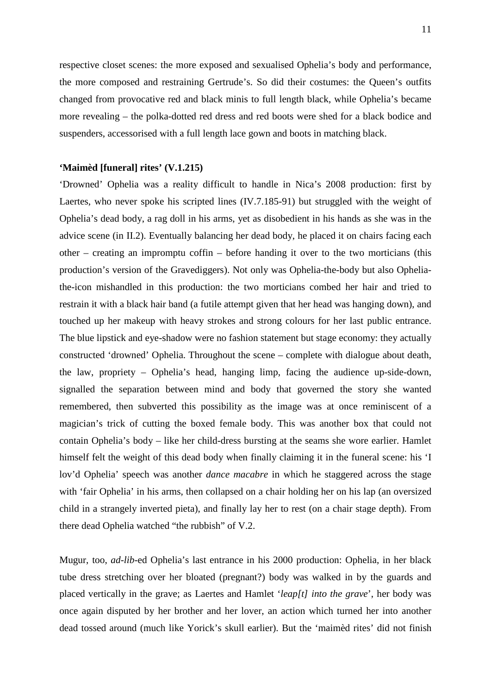respective closet scenes: the more exposed and sexualised Ophelia's body and performance, the more composed and restraining Gertrude's. So did their costumes: the Queen's outfits changed from provocative red and black minis to full length black, while Ophelia's became more revealing – the polka-dotted red dress and red boots were shed for a black bodice and suspenders, accessorised with a full length lace gown and boots in matching black.

## **'Maimèd [funeral] rites' (V.1.215)**

'Drowned' Ophelia was a reality difficult to handle in Nica's 2008 production: first by Laertes, who never spoke his scripted lines (IV.7.185-91) but struggled with the weight of Ophelia's dead body, a rag doll in his arms, yet as disobedient in his hands as she was in the advice scene (in II.2). Eventually balancing her dead body, he placed it on chairs facing each other – creating an impromptu coffin – before handing it over to the two morticians (this production's version of the Gravediggers). Not only was Ophelia-the-body but also Opheliathe-icon mishandled in this production: the two morticians combed her hair and tried to restrain it with a black hair band (a futile attempt given that her head was hanging down), and touched up her makeup with heavy strokes and strong colours for her last public entrance. The blue lipstick and eye-shadow were no fashion statement but stage economy: they actually constructed 'drowned' Ophelia. Throughout the scene – complete with dialogue about death, the law, propriety – Ophelia's head, hanging limp, facing the audience up-side-down, signalled the separation between mind and body that governed the story she wanted remembered, then subverted this possibility as the image was at once reminiscent of a magician's trick of cutting the boxed female body. This was another box that could not contain Ophelia's body – like her child-dress bursting at the seams she wore earlier. Hamlet himself felt the weight of this dead body when finally claiming it in the funeral scene: his 'I lov'd Ophelia' speech was another *dance macabre* in which he staggered across the stage with 'fair Ophelia' in his arms, then collapsed on a chair holding her on his lap (an oversized child in a strangely inverted pieta), and finally lay her to rest (on a chair stage depth). From there dead Ophelia watched "the rubbish" of V.2.

Mugur, too, *ad-lib*-ed Ophelia's last entrance in his 2000 production: Ophelia, in her black tube dress stretching over her bloated (pregnant?) body was walked in by the guards and placed vertically in the grave; as Laertes and Hamlet '*leap[t] into the grave*', her body was once again disputed by her brother and her lover, an action which turned her into another dead tossed around (much like Yorick's skull earlier). But the 'maimèd rites' did not finish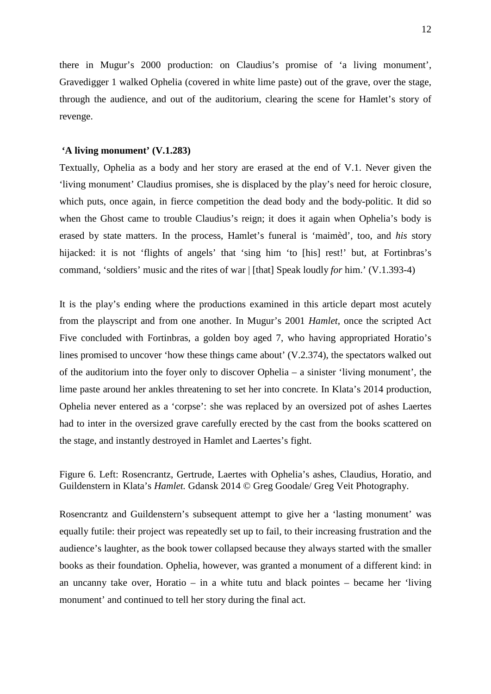there in Mugur's 2000 production: on Claudius's promise of 'a living monument', Gravedigger 1 walked Ophelia (covered in white lime paste) out of the grave, over the stage, through the audience, and out of the auditorium, clearing the scene for Hamlet's story of revenge.

#### **'A living monument' (V.1.283)**

Textually, Ophelia as a body and her story are erased at the end of V.1. Never given the 'living monument' Claudius promises, she is displaced by the play's need for heroic closure, which puts, once again, in fierce competition the dead body and the body-politic. It did so when the Ghost came to trouble Claudius's reign; it does it again when Ophelia's body is erased by state matters. In the process, Hamlet's funeral is 'maimèd', too, and *his* story hijacked: it is not 'flights of angels' that 'sing him 'to [his] rest!' but, at Fortinbras's command, 'soldiers' music and the rites of war | [that] Speak loudly *for* him.' (V.1.393-4)

It is the play's ending where the productions examined in this article depart most acutely from the playscript and from one another. In Mugur's 2001 *Hamlet*, once the scripted Act Five concluded with Fortinbras, a golden boy aged 7, who having appropriated Horatio's lines promised to uncover 'how these things came about' (V.2.374), the spectators walked out of the auditorium into the foyer only to discover Ophelia – a sinister 'living monument', the lime paste around her ankles threatening to set her into concrete. In Klata's 2014 production, Ophelia never entered as a 'corpse': she was replaced by an oversized pot of ashes Laertes had to inter in the oversized grave carefully erected by the cast from the books scattered on the stage, and instantly destroyed in Hamlet and Laertes's fight.

Figure 6. Left: Rosencrantz, Gertrude, Laertes with Ophelia's ashes, Claudius, Horatio, and Guildenstern in Klata's *Hamlet.* Gdansk 2014 © Greg Goodale/ Greg Veit Photography.

Rosencrantz and Guildenstern's subsequent attempt to give her a 'lasting monument' was equally futile: their project was repeatedly set up to fail, to their increasing frustration and the audience's laughter, as the book tower collapsed because they always started with the smaller books as their foundation. Ophelia, however, was granted a monument of a different kind: in an uncanny take over, Horatio – in a white tutu and black pointes – became her 'living monument' and continued to tell her story during the final act.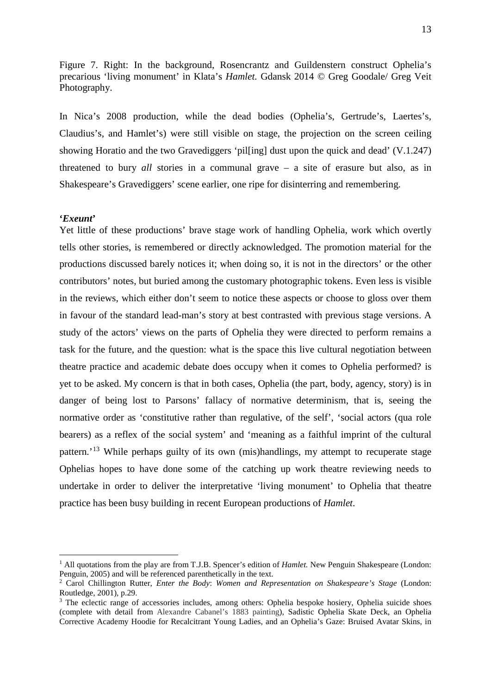Figure 7. Right: In the background, Rosencrantz and Guildenstern construct Ophelia's precarious 'living monument' in Klata's *Hamlet.* Gdansk 2014 © Greg Goodale/ Greg Veit Photography.

In Nica's 2008 production, while the dead bodies (Ophelia's, Gertrude's, Laertes's, Claudius's, and Hamlet's) were still visible on stage, the projection on the screen ceiling showing Horatio and the two Gravediggers 'pil[ing] dust upon the quick and dead' (V.1.247) threatened to bury *all* stories in a communal grave – a site of erasure but also, as in Shakespeare's Gravediggers' scene earlier, one ripe for disinterring and remembering.

#### **'***Exeunt***'**

Yet little of these productions' brave stage work of handling Ophelia, work which overtly tells other stories, is remembered or directly acknowledged. The promotion material for the productions discussed barely notices it; when doing so, it is not in the directors' or the other contributors' notes, but buried among the customary photographic tokens. Even less is visible in the reviews, which either don't seem to notice these aspects or choose to gloss over them in favour of the standard lead-man's story at best contrasted with previous stage versions. A study of the actors' views on the parts of Ophelia they were directed to perform remains a task for the future, and the question: what is the space this live cultural negotiation between theatre practice and academic debate does occupy when it comes to Ophelia performed? is yet to be asked. My concern is that in both cases, Ophelia (the part, body, agency, story) is in danger of being lost to Parsons' fallacy of normative determinism, that is, seeing the normative order as 'constitutive rather than regulative, of the self', 'social actors (qua role bearers) as a reflex of the social system' and 'meaning as a faithful imprint of the cultural pattern.'[13](#page-2-9) While perhaps guilty of its own (mis)handlings, my attempt to recuperate stage Ophelias hopes to have done some of the catching up work theatre reviewing needs to undertake in order to deliver the interpretative 'living monument' to Ophelia that theatre practice has been busy building in recent European productions of *Hamlet*.

<sup>&</sup>lt;sup>1</sup> All quotations from the play are from T.J.B. Spencer's edition of *Hamlet*. New Penguin Shakespeare (London: Penguin, 2005) and will be referenced parenthetically in the text.

<sup>2</sup> Carol Chillington Rutter, *Enter the Body*: *Women and Representation on Shakespeare's Stage* (London: Routledge, 2001), p.29.

<sup>&</sup>lt;sup>3</sup> The eclectic range of accessories includes, among others: Ophelia bespoke hosiery, Ophelia suicide shoes (complete with detail from Alexandre Cabanel's 1883 painting), Sadistic Ophelia Skate Deck, an Ophelia Corrective Academy Hoodie for Recalcitrant Young Ladies, and an Ophelia's Gaze: Bruised Avatar Skins, in